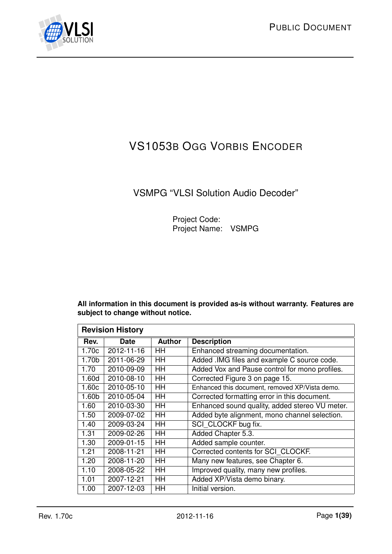<span id="page-0-1"></span><span id="page-0-0"></span>

# VS1053B OGG VORBIS ENCODER

## VSMPG "VLSI Solution Audio Decoder"

Project Code: Project Name: VSMPG

**All information in this document is provided as-is without warranty. Features are subject to change without notice.**

|                   | <b>Revision History</b> |               |                                                |
|-------------------|-------------------------|---------------|------------------------------------------------|
| Rev.              | <b>Date</b>             | <b>Author</b> | <b>Description</b>                             |
| 1.70c             | 2012-11-16              | HH            | Enhanced streaming documentation.              |
| 1.70 <sub>b</sub> | 2011-06-29              | HH            | Added .IMG files and example C source code.    |
| 1.70              | 2010-09-09              | HH            | Added Vox and Pause control for mono profiles. |
| 1.60d             | 2010-08-10              | HH            | Corrected Figure 3 on page 15.                 |
| 1.60c             | 2010-05-10              | HH            | Enhanced this document, removed XP/Vista demo. |
| 1.60 <sub>b</sub> | 2010-05-04              | HH            | Corrected formatting error in this document.   |
| 1.60              | 2010-03-30              | HH            | Enhanced sound quality, added stereo VU meter. |
| 1.50              | 2009-07-02              | HH            | Added byte alignment, mono channel selection.  |
| 1.40              | 2009-03-24              | HH            | SCI CLOCKF bug fix.                            |
| 1.31              | 2009-02-26              | HH            | Added Chapter 5.3.                             |
| 1.30              | 2009-01-15              | HH            | Added sample counter.                          |
| 1.21              | 2008-11-21              | HH            | Corrected contents for SCI CLOCKF.             |
| 1.20              | 2008-11-20              | HH            | Many new features, see Chapter 6.              |
| 1.10              | 2008-05-22              | HH            | Improved quality, many new profiles.           |
| 1.01              | 2007-12-21              | HH            | Added XP/Vista demo binary.                    |
| 1.00              | 2007-12-03              | HH            | Initial version.                               |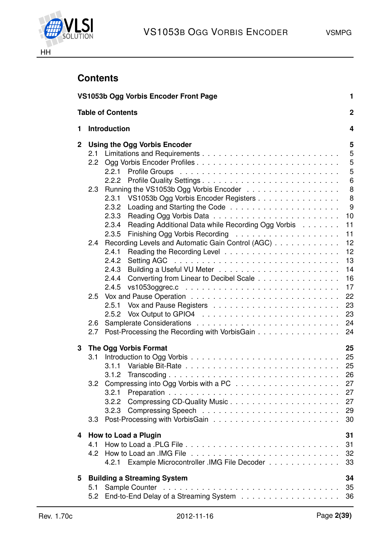



## <span id="page-1-0"></span>**Contents**

|              |                  | VS1053b Ogg Vorbis Encoder Front Page                       | $\mathbf{1}$   |
|--------------|------------------|-------------------------------------------------------------|----------------|
|              |                  | <b>Table of Contents</b>                                    | $\overline{2}$ |
| 1            |                  | <b>Introduction</b>                                         | 4              |
| $\mathbf{2}$ |                  | <b>Using the Ogg Vorbis Encoder</b>                         | 5              |
|              |                  |                                                             | 5              |
|              | 2.2 <sub>2</sub> |                                                             | 5              |
|              |                  | 2.2.1                                                       | 5              |
|              |                  |                                                             | 6              |
|              | 2.3              | Running the VS1053b Ogg Vorbis Encoder                      | 8              |
|              |                  | VS1053b Ogg Vorbis Encoder Registers<br>2.3.1               | 8              |
|              |                  | 2.3.2                                                       | 9              |
|              |                  | 2.3.3                                                       | 10             |
|              |                  | Reading Additional Data while Recording Ogg Vorbis<br>2.3.4 | 11             |
|              |                  | 2.3.5                                                       | 11             |
|              | $2.4^{\circ}$    | Recording Levels and Automatic Gain Control (AGC)           | 12             |
|              |                  | 2.4.1                                                       | 12             |
|              |                  | 2.4.2                                                       | 13             |
|              |                  | 2.4.3                                                       | 14             |
|              |                  | Converting from Linear to Decibel Scale<br>2.4.4            | 16             |
|              |                  | 2.4.5                                                       | 17             |
|              | $2.5^{\circ}$    |                                                             | 22             |
|              |                  | 2.5.1                                                       | 23             |
|              |                  |                                                             | 23             |
|              | 2.6              |                                                             | 24             |
|              | 2.7              | Post-Processing the Recording with VorbisGain               | 24             |
| 3            |                  |                                                             | 25             |
|              | 3.1              | The Ogg Vorbis Format                                       | 25             |
|              |                  |                                                             | 25             |
|              |                  |                                                             |                |
|              |                  | 3.1.2                                                       |                |
|              | 3.2              |                                                             | 27             |
|              |                  | 3.2.2 Compressing CD-Quality Music                          | 27             |
|              |                  |                                                             |                |
|              |                  |                                                             | 29             |
|              | 3.3              |                                                             | 30             |
| 4            |                  | How to Load a Plugin                                        | 31             |
|              | 4.1              |                                                             | 31             |
|              |                  |                                                             | 32             |
|              |                  | 4.2.1 Example Microcontroller .IMG File Decoder             | 33             |
| 5            |                  | <b>Building a Streaming System</b>                          | 34             |
|              | 5.1              |                                                             | 35             |
|              | 5.2              |                                                             | 36             |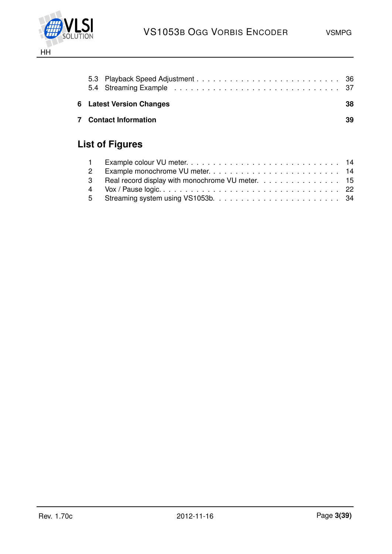

| <b>6</b> Latest Version Changes | 38 |
|---------------------------------|----|
| <b>7</b> Contact Information    | 39 |

# **List of Figures**

| 3 Real record display with monochrome VU meter. 15 |
|----------------------------------------------------|
|                                                    |
|                                                    |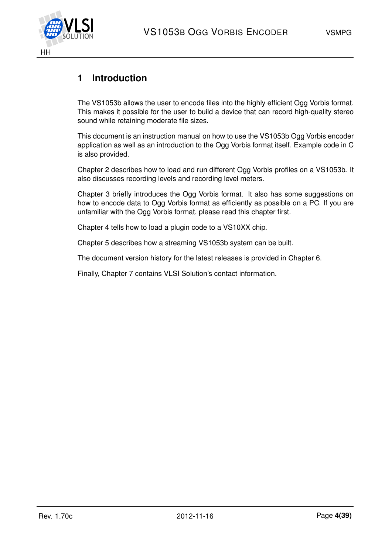

## <span id="page-3-0"></span>**1 Introduction**

The VS1053b allows the user to encode files into the highly efficient Ogg Vorbis format. This makes it possible for the user to build a device that can record high-quality stereo sound while retaining moderate file sizes.

This document is an instruction manual on how to use the VS1053b Ogg Vorbis encoder application as well as an introduction to the Ogg Vorbis format itself. Example code in C is also provided.

Chapter [2](#page-4-0) describes how to load and run different Ogg Vorbis profiles on a VS1053b. It also discusses recording levels and recording level meters.

Chapter [3](#page-24-0) briefly introduces the Ogg Vorbis format. It also has some suggestions on how to encode data to Ogg Vorbis format as efficiently as possible on a PC. If you are unfamiliar with the Ogg Vorbis format, please read this chapter first.

Chapter [4](#page-30-0) tells how to load a plugin code to a VS10XX chip.

Chapter [5](#page-33-0) describes how a streaming VS1053b system can be built.

The document version history for the latest releases is provided in Chapter [6.](#page-37-0)

Finally, Chapter [7](#page-38-0) contains VLSI Solution's contact information.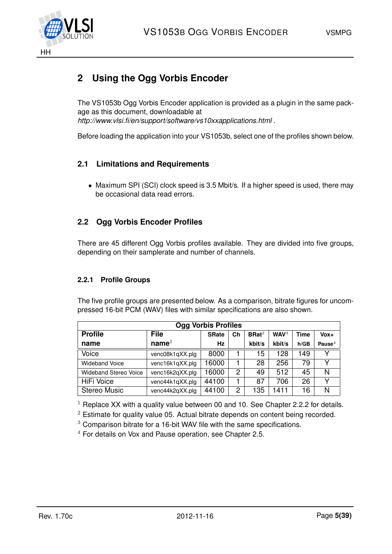

## <span id="page-4-0"></span>**2 Using the Ogg Vorbis Encoder**

The VS1053b Ogg Vorbis Encoder application is provided as a plugin in the same package as this document, downloadable at *http://www.vlsi.fi/en/support/software/vs10xxapplications.html* .

Before loading the application into your VS1053b, select one of the profiles shown below.

### <span id="page-4-1"></span>**2.1 Limitations and Requirements**

• Maximum SPI (SCI) clock speed is 3.5 Mbit/s. If a higher speed is used, there may be occasional data read errors.

## <span id="page-4-2"></span>**2.2 Ogg Vorbis Encoder Profiles**

There are 45 different Ogg Vorbis profiles available. They are divided into five groups, depending on their samplerate and number of channels.

#### <span id="page-4-3"></span>**2.2.1 Profile Groups**

The five profile groups are presented below. As a comparison, bitrate figures for uncompressed 16-bit PCM (WAV) files with similar specifications are also shown.

| <b>Ogg Vorbis Profiles</b>   |                   |              |    |                   |                  |      |           |
|------------------------------|-------------------|--------------|----|-------------------|------------------|------|-----------|
| <b>Profile</b>               | <b>File</b>       | <b>SRate</b> | Ch | BRat <sup>2</sup> | WAV <sup>3</sup> | Time | $V_0x +$  |
| name                         | name <sup>1</sup> | Hz           |    | kbit/s            | kbit/s           | h/GB | Pause $4$ |
| Voice                        | venc08k1qXX.plg   | 8000         |    | 15                | 128              | 149  |           |
| <b>Wideband Voice</b>        | venc16k1qXX.plg   | 16000        |    | 28                | 256              | 79   |           |
| <b>Wideband Stereo Voice</b> | venc16k2qXX.plg   | 16000        | 2  | 49                | 512              | 45   | N         |
| <b>HiFi Voice</b>            | venc44k1qXX.plg   | 44100        |    | 87                | 706              | 26   |           |
| <b>Stereo Music</b>          | venc44k2qXX.plg   | 44100        | 2  | 135               | 1411             | 16   | N         |

 $1$  Replace XX with a quality value between 00 and 10. See Chapter [2.2.2](#page-5-0) for details.

 $2$  Estimate for quality value 05. Actual bitrate depends on content being recorded.

<sup>3</sup> Comparison bitrate for a 16-bit WAV file with the same specifications.

 $4$  For details on Vox and Pause operation, see Chapter [2.5.](#page-21-0)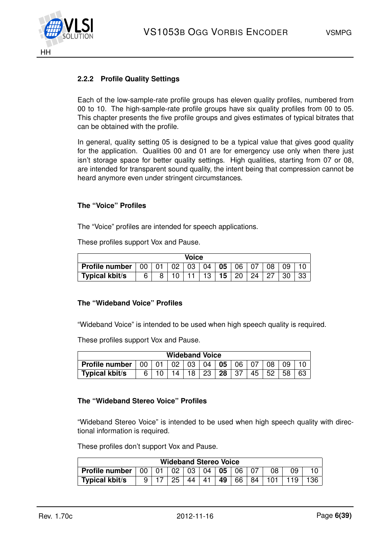

#### <span id="page-5-0"></span>**2.2.2 Profile Quality Settings**

Each of the low-sample-rate profile groups has eleven quality profiles, numbered from 00 to 10. The high-sample-rate profile groups have six quality profiles from 00 to 05. This chapter presents the five profile groups and gives estimates of typical bitrates that can be obtained with the profile.

In general, quality setting 05 is designed to be a typical value that gives good quality for the application. Qualities 00 and 01 are for emergency use only when there just isn't storage space for better quality settings. High qualities, starting from 07 or 08, are intended for transparent sound quality, the intent being that compression cannot be heard anymore even under stringent circumstances.

#### **The "Voice" Profiles**

The "Voice" profiles are intended for speech applications.

These profiles support Vox and Pause.

| Voice                 |                                              |     |                   |    |    |    |    |  |    |    |  |
|-----------------------|----------------------------------------------|-----|-------------------|----|----|----|----|--|----|----|--|
| Profile number        | $+00$                                        | -01 | $\overline{0}$ 02 | 03 | 04 | 05 | 06 |  | 08 | 09 |  |
| <b>Typical kbit/s</b> | 15 <sub>1</sub><br>30<br>13<br>20<br>6<br>24 |     |                   |    |    |    |    |  |    |    |  |

#### **The "Wideband Voice" Profiles**

"Wideband Voice" is intended to be used when high speech quality is required.

These profiles support Vox and Pause.

| <b>Wideband Voice</b> |    |              |    |        |     |                 |     |    |    |    |    |
|-----------------------|----|--------------|----|--------|-----|-----------------|-----|----|----|----|----|
| <b>Profile number</b> | 00 | $01 \mid 02$ |    | ່ 03 ∃ | 04  | 05 <sub>1</sub> | -06 |    | 08 | 09 |    |
| <b>Typical kbit/s</b> | հ․ |              | 14 |        | -23 | 28              | -37 | 45 | 52 | 58 | 63 |

#### **The "Wideband Stereo Voice" Profiles**

"Wideband Stereo Voice" is intended to be used when high speech quality with directional information is required.

These profiles don't support Vox and Pause.

| <b>Wideband Stereo Voice</b> |    |  |    |    |    |    |     |    |  |      |
|------------------------------|----|--|----|----|----|----|-----|----|--|------|
| <b>Profile number</b>        | 00 |  | 02 | 03 | 04 | 05 | 06. |    |  |      |
| <b>Typical kbit/s</b>        |    |  | 25 | 44 | 41 | 49 | 66  | 84 |  | 136. |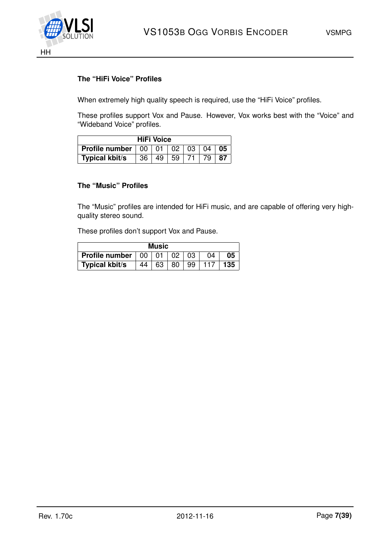

#### **The "HiFi Voice" Profiles**

When extremely high quality speech is required, use the "HiFi Voice" profiles.

These profiles support Vox and Pause. However, Vox works best with the "Voice" and "Wideband Voice" profiles.

| <b>HiFi Voice</b>                                                             |  |                |  |  |  |      |
|-------------------------------------------------------------------------------|--|----------------|--|--|--|------|
| <b>Profile number</b> $\vert 00 \vert 01 \vert 02 \vert 03 \vert 04 \vert 05$ |  |                |  |  |  |      |
| Typical kbit/s                                                                |  | 36 49 59 71 79 |  |  |  | . 87 |

#### **The "Music" Profiles**

The "Music" profiles are intended for HiFi music, and are capable of offering very highquality stereo sound.

These profiles don't support Vox and Pause.

| <b>Music</b>          |    |    |    |    |    |     |
|-----------------------|----|----|----|----|----|-----|
| <b>Profile number</b> | 00 | 01 | 02 | 03 | 04 | 05  |
| Typical kbit/s        | 44 | 63 | 80 | 99 |    | 135 |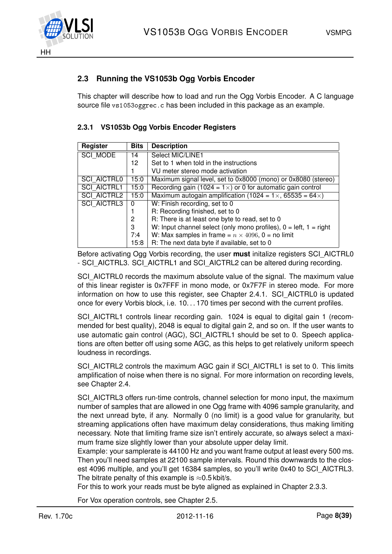

## <span id="page-7-0"></span>**2.3 Running the VS1053b Ogg Vorbis Encoder**

This chapter will describe how to load and run the Ogg Vorbis Encoder. A C language source file vs1053oggrec.c has been included in this package as an example.

| <b>Register</b>    | <b>Bits</b> | <b>Description</b>                                                        |
|--------------------|-------------|---------------------------------------------------------------------------|
| <b>SCI MODE</b>    | 14          | Select MIC/LINE1                                                          |
|                    | 12          | Set to 1 when told in the instructions                                    |
|                    |             | VU meter stereo mode activation                                           |
| <b>SCI AICTRL0</b> | 15:0        | Maximum signal level, set to 0x8000 (mono) or 0x8080 (stereo)             |
| <b>SCI AICTRL1</b> | 15:0        | Recording gain (1024 = $1 \times$ ) or 0 for automatic gain control       |
| <b>SCI AICTRL2</b> | 15:0        | Maximum autogain amplification (1024 = $1 \times$ , 65535 = 64 $\times$ ) |
| <b>SCI AICTRL3</b> | 0           | W: Finish recording, set to 0                                             |
|                    |             | R: Recording finished, set to 0                                           |
|                    | 2           | R: There is at least one byte to read, set to 0                           |
|                    | 3           | W: Input channel select (only mono profiles), $0 = left$ , $1 = right$    |
|                    | 7:4         | W: Max samples in frame = $n \times 4096$ , 0 = no limit                  |
|                    | 15:8        | R: The next data byte if available, set to 0                              |

#### <span id="page-7-1"></span>**2.3.1 VS1053b Ogg Vorbis Encoder Registers**

Before activating Ogg Vorbis recording, the user **must** initalize registers SCI\_AICTRL0 - SCI\_AICTRL3. SCI\_AICTRL1 and SCI\_AICTRL2 can be altered during recording.

SCI\_AICTRL0 records the maximum absolute value of the signal. The maximum value of this linear register is 0x7FFF in mono mode, or 0x7F7F in stereo mode. For more information on how to use this register, see Chapter [2.4.1.](#page-11-1) SCI\_AICTRL0 is updated once for every Vorbis block, i.e. 10. . . 170 times per second with the current profiles.

SCI\_AICTRL1 controls linear recording gain. 1024 is equal to digital gain 1 (recommended for best quality), 2048 is equal to digital gain 2, and so on. If the user wants to use automatic gain control (AGC), SCI\_AICTRL1 should be set to 0. Speech applications are often better off using some AGC, as this helps to get relatively uniform speech loudness in recordings.

SCI\_AICTRL2 controls the maximum AGC gain if SCI\_AICTRL1 is set to 0. This limits amplification of noise when there is no signal. For more information on recording levels, see Chapter [2.4.](#page-11-0)

SCI\_AICTRL3 offers run-time controls, channel selection for mono input, the maximum number of samples that are allowed in one Ogg frame with 4096 sample granularity, and the next unread byte, if any. Normally 0 (no limit) is a good value for granularity, but streaming applications often have maximum delay considerations, thus making limiting necessary. Note that limiting frame size isn't entirely accurate, so always select a maximum frame size slightly lower than your absolute upper delay limit.

Example: your samplerate is 44100 Hz and you want frame output at least every 500 ms. Then you'll need samples at 22100 sample intervals. Round this downwards to the closest 4096 multiple, and you'll get 16384 samples, so you'll write 0x40 to SCI\_AICTRL3. The bitrate penalty of this example is  $\approx 0.5$  kbit/s.

For this to work your reads must be byte aligned as explained in Chapter [2.3.3.](#page-9-0)

For Vox operation controls, see Chapter [2.5.](#page-21-0)

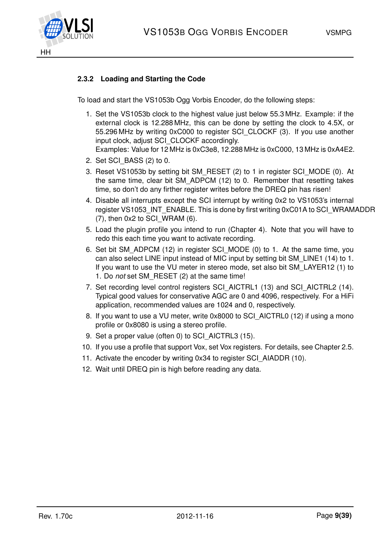

### <span id="page-8-0"></span>**2.3.2 Loading and Starting the Code**

To load and start the VS1053b Ogg Vorbis Encoder, do the following steps:

- 1. Set the VS1053b clock to the highest value just below 55.3 MHz. Example: if the external clock is 12.288 MHz, this can be done by setting the clock to 4.5X, or 55.296 MHz by writing 0xC000 to register SCI\_CLOCKF (3). If you use another input clock, adjust SCI\_CLOCKF accordingly. Examples: Value for 12 MHz is 0xC3e8, 12.288 MHz is 0xC000, 13 MHz is 0xA4E2.
- 2. Set SCI\_BASS (2) to 0.
- 3. Reset VS1053b by setting bit SM\_RESET (2) to 1 in register SCI\_MODE (0). At the same time, clear bit SM\_ADPCM (12) to 0. Remember that resetting takes time, so don't do any firther register writes before the DREQ pin has risen!
- 4. Disable all interrupts except the SCI interrupt by writing 0x2 to VS1053's internal register VS1053 INT ENABLE. This is done by first writing 0xC01A to SCI\_WRAMADDR  $(7)$ , then 0x2 to SCI WRAM  $(6)$ .
- 5. Load the plugin profile you intend to run (Chapter [4\)](#page-30-0). Note that you will have to redo this each time you want to activate recording.
- 6. Set bit SM\_ADPCM (12) in register SCI\_MODE (0) to 1. At the same time, you can also select LINE input instead of MIC input by setting bit SM\_LINE1 (14) to 1. If you want to use the VU meter in stereo mode, set also bit SM\_LAYER12 (1) to 1. Do *not* set SM\_RESET (2) at the same time!
- 7. Set recording level control registers SCI\_AICTRL1 (13) and SCI\_AICTRL2 (14). Typical good values for conservative AGC are 0 and 4096, respectively. For a HiFi application, recommended values are 1024 and 0, respectively.
- 8. If you want to use a VU meter, write 0x8000 to SCI\_AICTRL0 (12) if using a mono profile or 0x8080 is using a stereo profile.
- 9. Set a proper value (often 0) to SCI\_AICTRL3 (15).
- 10. If you use a profile that support Vox, set Vox registers. For details, see Chapter [2.5.](#page-21-0)
- 11. Activate the encoder by writing 0x34 to register SCI\_AIADDR (10).
- 12. Wait until DREQ pin is high before reading any data.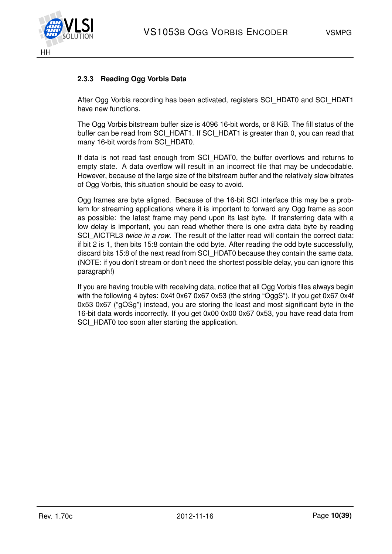

#### <span id="page-9-0"></span>**2.3.3 Reading Ogg Vorbis Data**

After Ogg Vorbis recording has been activated, registers SCI\_HDAT0 and SCI\_HDAT1 have new functions.

The Ogg Vorbis bitstream buffer size is 4096 16-bit words, or 8 KiB. The fill status of the buffer can be read from SCI\_HDAT1. If SCI\_HDAT1 is greater than 0, you can read that many 16-bit words from SCI\_HDAT0.

If data is not read fast enough from SCI\_HDAT0, the buffer overflows and returns to empty state. A data overflow will result in an incorrect file that may be undecodable. However, because of the large size of the bitstream buffer and the relatively slow bitrates of Ogg Vorbis, this situation should be easy to avoid.

Ogg frames are byte aligned. Because of the 16-bit SCI interface this may be a problem for streaming applications where it is important to forward any Ogg frame as soon as possible: the latest frame may pend upon its last byte. If transferring data with a low delay is important, you can read whether there is one extra data byte by reading SCI\_AICTRL3 *twice in a row*. The result of the latter read will contain the correct data: if bit 2 is 1, then bits 15:8 contain the odd byte. After reading the odd byte successfully, discard bits 15:8 of the next read from SCI\_HDAT0 because they contain the same data. (NOTE: if you don't stream or don't need the shortest possible delay, you can ignore this paragraph!)

If you are having trouble with receiving data, notice that all Ogg Vorbis files always begin with the following 4 bytes: 0x4f 0x67 0x67 0x53 (the string "OggS"). If you get 0x67 0x4f 0x53 0x67 ("gOSg") instead, you are storing the least and most significant byte in the 16-bit data words incorrectly. If you get 0x00 0x00 0x67 0x53, you have read data from SCI\_HDAT0 too soon after starting the application.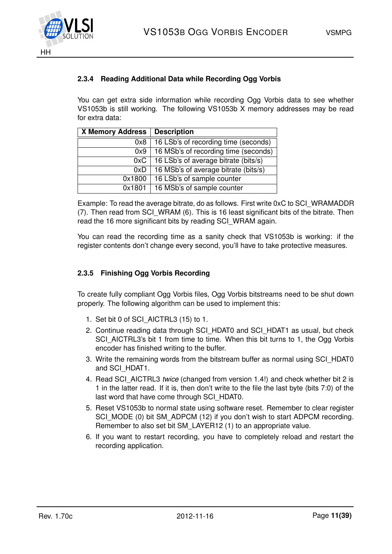



#### <span id="page-10-0"></span>**2.3.4 Reading Additional Data while Recording Ogg Vorbis**

You can get extra side information while recording Ogg Vorbis data to see whether VS1053b is still working. The following VS1053b X memory addresses may be read for extra data:

| <b>X Memory Address</b> | <b>Description</b>                   |
|-------------------------|--------------------------------------|
| 0x8                     | 16 LSb's of recording time (seconds) |
| 0x9                     | 16 MSb's of recording time (seconds) |
| 0xC                     | 16 LSb's of average bitrate (bits/s) |
| 0xD                     | 16 MSb's of average bitrate (bits/s) |
| 0x1800                  | 16 LSb's of sample counter           |
| 0x1801                  | 16 MSb's of sample counter           |

Example: To read the average bitrate, do as follows. First write 0xC to SCI\_WRAMADDR (7). Then read from SCI WRAM (6). This is 16 least significant bits of the bitrate. Then read the 16 more significant bits by reading SCI\_WRAM again.

You can read the recording time as a sanity check that VS1053b is working: if the register contents don't change every second, you'll have to take protective measures.

#### <span id="page-10-1"></span>**2.3.5 Finishing Ogg Vorbis Recording**

To create fully compliant Ogg Vorbis files, Ogg Vorbis bitstreams need to be shut down properly. The following algorithm can be used to implement this:

- 1. Set bit 0 of SCI\_AICTRL3 (15) to 1.
- 2. Continue reading data through SCI\_HDAT0 and SCI\_HDAT1 as usual, but check SCI\_AICTRL3's bit 1 from time to time. When this bit turns to 1, the Ogg Vorbis encoder has finished writing to the buffer.
- 3. Write the remaining words from the bitstream buffer as normal using SCI\_HDAT0 and SCI\_HDAT1.
- 4. Read SCI\_AICTRL3 *twice* (changed from version 1.4!) and check whether bit 2 is 1 in the latter read. If it is, then don't write to the file the last byte (bits 7:0) of the last word that have come through SCI\_HDAT0.
- 5. Reset VS1053b to normal state using software reset. Remember to clear register SCI\_MODE (0) bit SM\_ADPCM (12) if you don't wish to start ADPCM recording. Remember to also set bit SM\_LAYER12 (1) to an appropriate value.
- 6. If you want to restart recording, you have to completely reload and restart the recording application.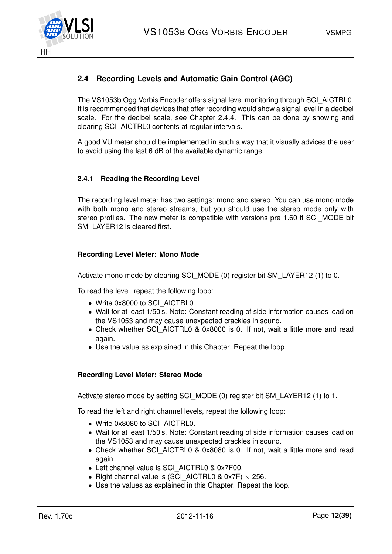

## <span id="page-11-0"></span>**2.4 Recording Levels and Automatic Gain Control (AGC)**

The VS1053b Ogg Vorbis Encoder offers signal level monitoring through SCI\_AICTRL0. It is recommended that devices that offer recording would show a signal level in a decibel scale. For the decibel scale, see Chapter [2.4.4.](#page-15-0) This can be done by showing and clearing SCI\_AICTRL0 contents at regular intervals.

A good VU meter should be implemented in such a way that it visually advices the user to avoid using the last 6 dB of the available dynamic range.

#### <span id="page-11-1"></span>**2.4.1 Reading the Recording Level**

The recording level meter has two settings: mono and stereo. You can use mono mode with both mono and stereo streams, but you should use the stereo mode only with stereo profiles. The new meter is compatible with versions pre 1.60 if SCI\_MODE bit SM\_LAYER12 is cleared first.

#### **Recording Level Meter: Mono Mode**

Activate mono mode by clearing SCI\_MODE (0) register bit SM\_LAYER12 (1) to 0.

To read the level, repeat the following loop:

- Write 0x8000 to SCI\_AICTRL0.
- Wait for at least 1/50 s. Note: Constant reading of side information causes load on the VS1053 and may cause unexpected crackles in sound.
- Check whether SCI\_AICTRL0 & 0x8000 is 0. If not, wait a little more and read again.
- Use the value as explained in this Chapter. Repeat the loop.

#### **Recording Level Meter: Stereo Mode**

Activate stereo mode by setting SCI\_MODE (0) register bit SM\_LAYER12 (1) to 1.

To read the left and right channel levels, repeat the following loop:

- Write 0x8080 to SCI\_AICTRL0.
- Wait for at least 1/50 s. Note: Constant reading of side information causes load on the VS1053 and may cause unexpected crackles in sound.
- Check whether SCI\_AICTRL0 & 0x8080 is 0. If not, wait a little more and read again.
- Left channel value is SCI\_AICTRL0 & 0x7F00.
- Right channel value is (SCI\_AICTRL0 & 0x7F)  $\times$  256.
- Use the values as explained in this Chapter. Repeat the loop.

HH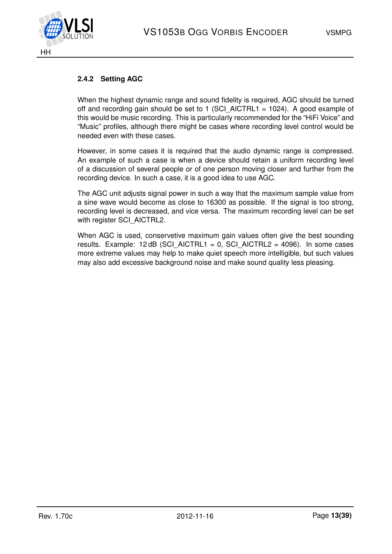

#### <span id="page-12-0"></span>**2.4.2 Setting AGC**

When the highest dynamic range and sound fidelity is required, AGC should be turned off and recording gain should be set to 1 (SCI AICTRL1 = 1024). A good example of this would be music recording. This is particularly recommended for the "HiFi Voice" and "Music" profiles, although there might be cases where recording level control would be needed even with these cases.

However, in some cases it is required that the audio dynamic range is compressed. An example of such a case is when a device should retain a uniform recording level of a discussion of several people or of one person moving closer and further from the recording device. In such a case, it is a good idea to use AGC.

The AGC unit adjusts signal power in such a way that the maximum sample value from a sine wave would become as close to 16300 as possible. If the signal is too strong, recording level is decreased, and vice versa. The maximum recording level can be set with register SCI\_AICTRL2.

When AGC is used, conservetive maximum gain values often give the best sounding results. Example:  $12$  dB (SCI\_AICTRL1 = 0, SCI\_AICTRL2 = 4096). In some cases more extreme values may help to make quiet speech more intelligible, but such values may also add excessive background noise and make sound quality less pleasing.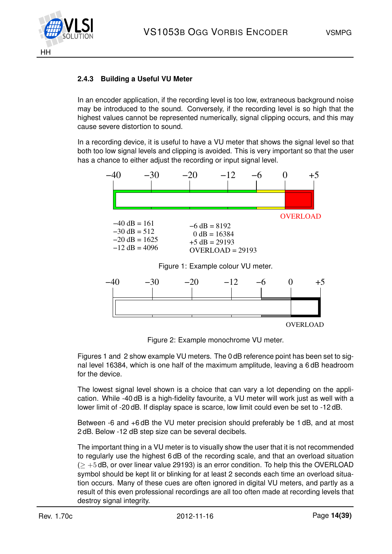

#### <span id="page-13-0"></span>**2.4.3 Building a Useful VU Meter**

In an encoder application, if the recording level is too low, extraneous background noise may be introduced to the sound. Conversely, if the recording level is so high that the highest values cannot be represented numerically, signal clipping occurs, and this may cause severe distortion to sound.

In a recording device, it is useful to have a VU meter that shows the signal level so that both too low signal levels and clipping is avoided. This is very important so that the user has a chance to either adjust the recording or input signal level.



<span id="page-13-1"></span>

<span id="page-13-2"></span>Figure 2: Example monochrome VU meter.

Figures [1](#page-13-1) and [2](#page-13-2) show example VU meters. The 0 dB reference point has been set to signal level 16384, which is one half of the maximum amplitude, leaving a 6 dB headroom for the device.

The lowest signal level shown is a choice that can vary a lot depending on the application. While -40 dB is a high-fidelity favourite, a VU meter will work just as well with a lower limit of -20 dB. If display space is scarce, low limit could even be set to -12 dB.

Between -6 and +6 dB the VU meter precision should preferably be 1 dB, and at most 2 dB. Below -12 dB step size can be several decibels.

The important thing in a VU meter is to visually show the user that it is not recommended to regularly use the highest 6 dB of the recording scale, and that an overload situation  $(> +5$  dB, or over linear value 29193) is an error condition. To help this the OVERLOAD symbol should be kept lit or blinking for at least 2 seconds each time an overload situation occurs. Many of these cues are often ignored in digital VU meters, and partly as a result of this even professional recordings are all too often made at recording levels that destroy signal integrity.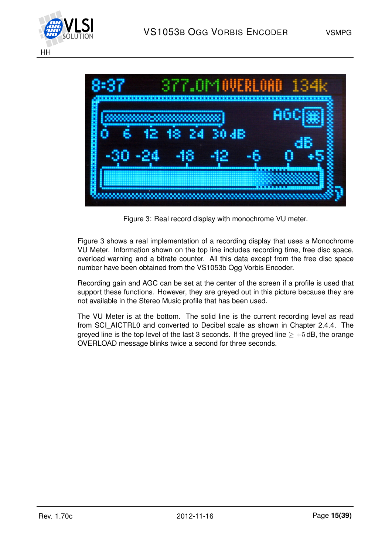



<span id="page-14-0"></span>Figure 3: Real record display with monochrome VU meter.

Figure [3](#page-14-0) shows a real implementation of a recording display that uses a Monochrome VU Meter. Information shown on the top line includes recording time, free disc space, overload warning and a bitrate counter. All this data except from the free disc space number have been obtained from the VS1053b Ogg Vorbis Encoder.

Recording gain and AGC can be set at the center of the screen if a profile is used that support these functions. However, they are greyed out in this picture because they are not available in the Stereo Music profile that has been used.

The VU Meter is at the bottom. The solid line is the current recording level as read from SCI\_AICTRL0 and converted to Decibel scale as shown in Chapter [2.4.4.](#page-15-0) The greyed line is the top level of the last 3 seconds. If the greyed line  $\geq +5$  dB, the orange OVERLOAD message blinks twice a second for three seconds.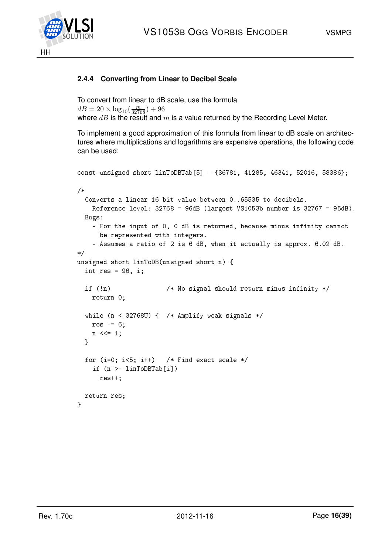

### <span id="page-15-0"></span>**2.4.4 Converting from Linear to Decibel Scale**

```
To convert from linear to dB scale, use the formula
dB = 20 \times \log_{10}(\frac{m}{32768}) + 96where dB is the result and m is a value returned by the Recording Level Meter.
```
To implement a good approximation of this formula from linear to dB scale on architectures where multiplications and logarithms are expensive operations, the following code can be used:

```
const unsigned short linToDBTab[5] = {36781, 41285, 46341, 52016, 58386};
/*
 Converts a linear 16-bit value between 0..65535 to decibels.
   Reference level: 32768 = 96dB (largest VS1053b number is 32767 = 95dB).
 Bugs:
   - For the input of 0, 0 dB is returned, because minus infinity cannot
     be represented with integers.
    - Assumes a ratio of 2 is 6 dB, when it actually is approx. 6.02 dB.
*/
unsigned short LinToDB(unsigned short n) {
 int res = 96, i;
 if (!n) /* No signal should return minus infinity */
   return 0;
 while (n < 327680) { /* Amplify weak signals */
   res = 6;
   n \leq 1;}
 for (i=0; i<5; i++) /* Find exact scale */
   if (n >= linToDBTab[i])
     res++;
 return res;
}
```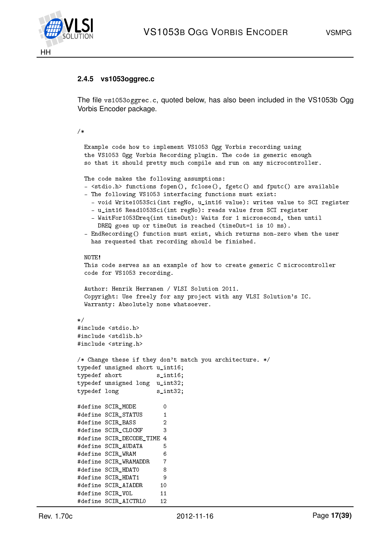

#### <span id="page-16-0"></span>**2.4.5 vs1053oggrec.c**

The file vs1053oggrec.c, quoted below, has also been included in the VS1053b Ogg Vorbis Encoder package.

#### /\*

```
Example code how to implement VS1053 Ogg Vorbis recording using
 the VS1053 Ogg Vorbis Recording plugin. The code is generic enough
 so that it should pretty much compile and run on any microcontroller.
 The code makes the following assumptions:
 - \letdio.h> functions fopen(), fclose(), fgetc() and fputc() are available
 - The following VS1053 interfacing functions must exist:
   - void Write1053Sci(int regNo, u_int16 value): writes value to SCI register
    - u_int16 Read1053Sci(int regNo): reads value from SCI register
   - WaitFor1053Dreq(int timeOut): Waits for 1 microsecond, then until
     DREQ goes up or timeOut is reached (timeOut=1 is 10 ms).
 - EndRecording() function must exist, which returns non-zero when the user
   has requested that recording should be finished.
 NOTE!
 This code serves as an example of how to create generic C microcontroller
 code for VS1053 recording.
 Author: Henrik Herranen / VLSI Solution 2011.
 Copyright: Use freely for any project with any VLSI Solution's IC.
 Warranty: Absolutely none whatsoever.
*/
#include <stdio.h>
#include <stdlib.h>
#include <string.h>
/* Change these if they don't match you architecture. */
typedef unsigned short u_int16;
typedef short s_int16;
typedef unsigned long u_int32;
typedef long s_int32;
#define SCIR_MODE 0
#define SCIR_STATUS 1
#define SCIR_BASS 2
#define SCIR CLOCKF 3
#define SCIR_DECODE_TIME 4
#define SCIR_AUDATA 5
#define SCIR_WRAM 6
#define SCIR WRAMADDR 7
#define SCIR_HDATO 8
#define SCIR_HDAT1 9
#define SCIR_AIADDR 10
#define SCIR VOL 11
```
#define SCIR\_AICTRL0 12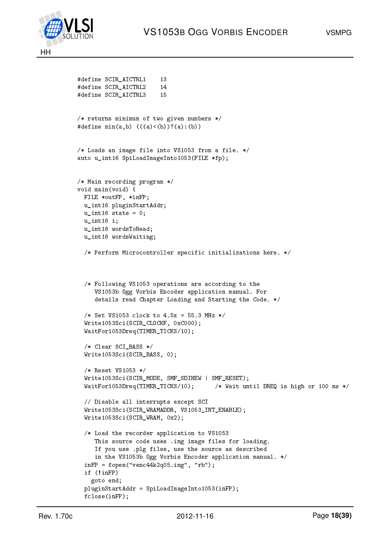

```
#define SCIR AICTRL1 13
#define SCIR AICTRL2 14
#define SCIR_AICTRL3 15
/* returns minimum of two given numbers */
#define min(a,b) (((a) < (b))?(a):(b))
/* Loads an image file into VS1053 from a file. */
auto u_int16 SpiLoadImageInto1053(FILE *fp);
/* Main recording program */
void main(void) {
  FILE *outFP, *inFP;
  u_int16 pluginStartAddr;
  u_int16 state = 0;
  u int16 i;
  u_int16 wordsToRead;
  u_int16 wordsWaiting;
  /* Perform Microcontroller specific initializations here. */
  /* Following VS1053 operations are according to the
     VS1053b Ogg Vorbis Encoder application manual. For
     details read Chapter Loading and Starting the Code. */
  /* Set VS1053 clock to 4.5x = 55.3 MHz */
  Write1053Sci(SCIR CLOCKF, 0xC000);
  WaitFor1053Dreq(TIMER_TICKS/10);
  /* Clear SCI_BASS */
  Write1053Sci(SCIR_BASS, 0);
  /* Reset VS1053 */
  Write1053Sci(SCIR_MODE, SMF_SDINEW | SMF_RESET);
  WaitFor1053Dreq(TIMER_TICKS/10); /* Wait until DREQ is high or 100 ms */
  // Disable all interrupts except SCI
  Write1053Sci(SCIR_WRAMADDR, VS1053_INT_ENABLE);
  Write1053Sci(SCIR_WRAM, 0x2);
  /* Load the recorder application to VS1053
     This source code uses .img image files for loading.
     If you use .plg files, use the source as described
     in the VS1053b Ogg Vorbis Encoder application manual. */
  inFP = fopen("venc44k2q05.img", "rb");
  if (!inFP)
    goto end;
  pluginStartAddr = SpiLoadImageInto1053(inFP);
  fclose(inFP);
```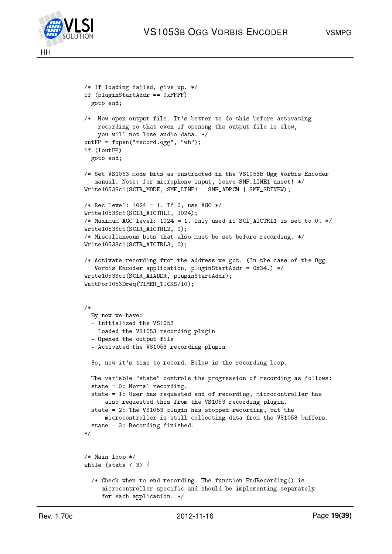

```
/* If loading failed, give up. */
if (pluginStartAddr == 0xFFFF)
  goto end;
/* Now open output file. It's better to do this before activating
   recording so that even if opening the output file is slow,
    you will not lose audio data. */
outFP = fopen("record.ogg", "wb");
if (!outFP)
 goto end;
/* Set VS1053 mode bits as instructed in the VS1053b Ogg Vorbis Encoder
   manual. Note: for microphone input, leave SMF_LINE1 unset! */
Write1053Sci(SCIR_MODE, SMF_LINE1 | SMF_ADPCM | SMF_SDINEW);
/* Rec level: 1024 = 1. If 0, use AGC */
Write1053Sci(SCIR_AICTRL1, 1024);
/* Maximum AGC level: 1024 = 1. Only used if SCI_AICTRL1 is set to 0. */
Write1053Sci(SCIR AICTRL2, 0);
/* Miscellaneous bits that also must be set before recording. */
Write1053Sci(SCIR_AICTRL3, 0);
/* Activate recording from the address we got. (In the case of the Ogg
   Vorbis Encoder application, pluginStartAddr = 0x34.) */
Write1053Sci(SCIR_AIADDR, pluginStartAddr);
WaitFor1053Dreq(TIMER_TICKS/10);
/*
 By now we have:
  - Initialized the VS1053
  - Loaded the VS1053 recording plugin
  - Opened the output file
  - Activated the VS1053 recording plugin
  So, now it's time to record. Below is the recording loop.
 The variable "state" controls the progression of recording as follows:
  state = 0: Normal recording.
  state = 1: User has requested end of recording, microcontroller has
      also requested this from the VS1053 recording plugin.
  state = 2: The VS1053 plugin has stopped recording, but the
      microcontroller is still collecting data from the VS1053 buffers.
  state = 3: Recording finished.
*/
/* Main loop */
while (state \langle 3 \rangle {
  /* Check when to end recording. The function EndRecording() is
     microcontroller specific and should be implementing separately
     for each application. */
```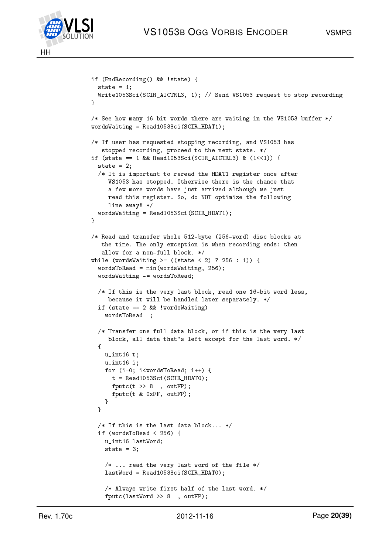



```
if (EndRecording() && !state) {
  state = 1;
  Write1053Sci(SCIR_AICTRL3, 1); // Send VS1053 request to stop recording
}
/* See how many 16-bit words there are waiting in the VS1053 buffer */
wordsWaiting = Read1053Sci(SCIR_HDAT1);
/* If user has requested stopping recording, and VS1053 has
   stopped recording, proceed to the next state. */
if (state == 1 && Read1053Sci(SCIR_AICTRL3) & (1<<1)) {
  state = 2:
  /* It is important to reread the HDAT1 register once after
     VS1053 has stopped. Otherwise there is the chance that
     a few more words have just arrived although we just
     read this register. So, do NOT optimize the following
     line away! */
  wordsWaiting = Read1053Sci(SCIR_HDAT1);
}
/* Read and transfer whole 512-byte (256-word) disc blocks at
   the time. The only exception is when recording ends: then
   allow for a non-full block. */
while (wordsWaiting >= ((state < 2) ? 256 : 1)) {
  wordsToRead = min(wordsWaiting, 256);
  wordsWaiting -= wordsToRead;
  /* If this is the very last block, read one 16-bit word less,
     because it will be handled later separately. */
  if (state == 2 && !wordsWaiting)
    wordsToRead--;
  /* Transfer one full data block, or if this is the very last
     block, all data that's left except for the last word. */
  {
    u_int16 t;
    u_int16 i;
    for (i=0; i<wordsToRead; i++) {
      t = Read1053Sci(SCIR_HDATO);
      fputc(t \gg 8, outFP);
      fputc(t & 0xFF, outFP);
    }
  }
  /* If this is the last data block... */if (wordsToRead < 256) {
    u_int16 lastWord;
    state = 3;
    /* \ldots read the very last word of the file */lastWord = Read1053Sci(SCIR_HDAT0);
    /* Always write first half of the last word. */
    fputc(lastWord >> 8 , outFP);
```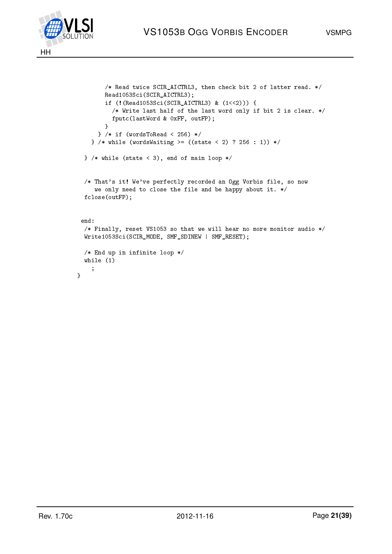



}

```
/* Read twice SCIR_AICTRL3, then check bit 2 of latter read. */
      Read1053Sci(SCIR_AICTRL3);
       if (!(Read1053Sci(SCIR_AICTRL3) & (1<<2))) {
        /* Write last half of the last word only if bit 2 is clear. */
        fputc(lastWord & 0xFF, outFP);
      }
     } /* if (wordsToRead < 256) */
   } /* while (wordsWaiting >= ((state < 2) ? 256 : 1)) */
} /* while (state < 3), end of main loop */
 /* That's it! We've perfectly recorded an Ogg Vorbis file, so now
   we only need to close the file and be happy about it. */
fclose(outFP);
end:
/* Finally, reset VS1053 so that we will hear no more monitor audio */Write1053Sci(SCIR_MODE, SMF_SDINEW | SMF_RESET);
/* End up in infinite loop */
while (1)
   ;
```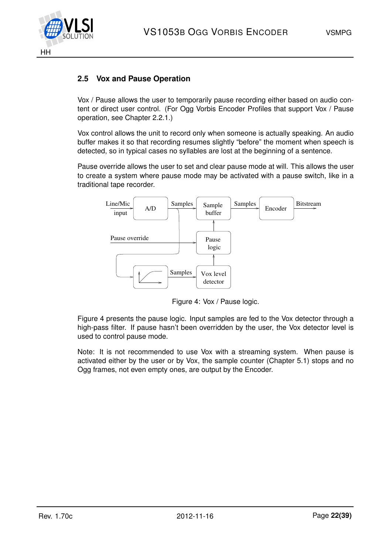

### <span id="page-21-0"></span>**2.5 Vox and Pause Operation**

Vox / Pause allows the user to temporarily pause recording either based on audio content or direct user control. (For Ogg Vorbis Encoder Profiles that support Vox / Pause operation, see Chapter [2.2.1.](#page-4-3))

Vox control allows the unit to record only when someone is actually speaking. An audio buffer makes it so that recording resumes slightly "before" the moment when speech is detected, so in typical cases no syllables are lost at the beginning of a sentence.

Pause override allows the user to set and clear pause mode at will. This allows the user to create a system where pause mode may be activated with a pause switch, like in a traditional tape recorder.



<span id="page-21-1"></span>Figure 4: Vox / Pause logic.

Figure [4](#page-21-1) presents the pause logic. Input samples are fed to the Vox detector through a high-pass filter. If pause hasn't been overridden by the user, the Vox detector level is used to control pause mode.

Note: It is not recommended to use Vox with a streaming system. When pause is activated either by the user or by Vox, the sample counter (Chapter [5.1\)](#page-34-0) stops and no Ogg frames, not even empty ones, are output by the Encoder.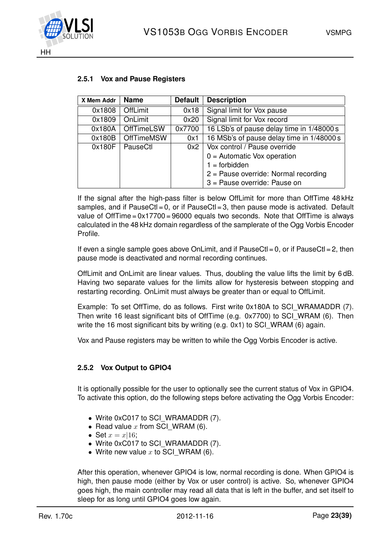



| X Mem Addr | <b>Name</b>       | <b>Default</b> | <b>Description</b>                        |
|------------|-------------------|----------------|-------------------------------------------|
| 0x1808     | <b>OffLimit</b>   | 0x18           | Signal limit for Vox pause                |
| 0x1809     | OnLimit           | 0x20           | Signal limit for Vox record               |
| 0x180A     | <b>OffTimeLSW</b> | 0x7700         | 16 LSb's of pause delay time in 1/48000 s |
| 0x180B     | <b>OffTimeMSW</b> | 0x1            | 16 MSb's of pause delay time in 1/48000 s |
| 0x180F     | PauseCtl          | 0x2            | Vox control / Pause override              |
|            |                   |                | $0 =$ Automatic Vox operation             |
|            |                   |                | $1 =$ forbidden                           |
|            |                   |                | $2$ = Pause override: Normal recording    |
|            |                   |                | 3 = Pause override: Pause on              |

#### <span id="page-22-0"></span>**2.5.1 Vox and Pause Registers**

If the signal after the high-pass filter is below OffLimit for more than OffTime 48 kHz samples, and if PauseCt $l = 0$ , or if PauseCt $l = 3$ , then pause mode is activated. Default value of OffTime = 0x17700 = 96000 equals two seconds. Note that OffTime is always calculated in the 48 kHz domain regardless of the samplerate of the Ogg Vorbis Encoder Profile.

If even a single sample goes above OnLimit, and if  $PauseC1 = 0$ , or if  $PauseC1 = 2$ , then pause mode is deactivated and normal recording continues.

OffLimit and OnLimit are linear values. Thus, doubling the value lifts the limit by 6 dB. Having two separate values for the limits allow for hysteresis between stopping and restarting recording. OnLimit must always be greater than or equal to OffLimit.

Example: To set OffTime, do as follows. First write 0x180A to SCI\_WRAMADDR (7). Then write 16 least significant bits of OffTime (e.g. 0x7700) to SCI WRAM (6). Then write the 16 most significant bits by writing  $(e.g. 0x1)$  to SCI WRAM (6) again.

Vox and Pause registers may be written to while the Ogg Vorbis Encoder is active.

#### <span id="page-22-1"></span>**2.5.2 Vox Output to GPIO4**

It is optionally possible for the user to optionally see the current status of Vox in GPIO4. To activate this option, do the following steps before activating the Ogg Vorbis Encoder:

- Write 0xC017 to SCI\_WRAMADDR (7).
- Read value  $x$  from SCI WRAM (6).
- Set  $x = x/16$ ;
- Write 0xC017 to SCI\_WRAMADDR (7).
- Write new value  $x$  to SCI WRAM (6).

After this operation, whenever GPIO4 is low, normal recording is done. When GPIO4 is high, then pause mode (either by Vox or user control) is active. So, whenever GPIO4 goes high, the main controller may read all data that is left in the buffer, and set itself to sleep for as long until GPIO4 goes low again.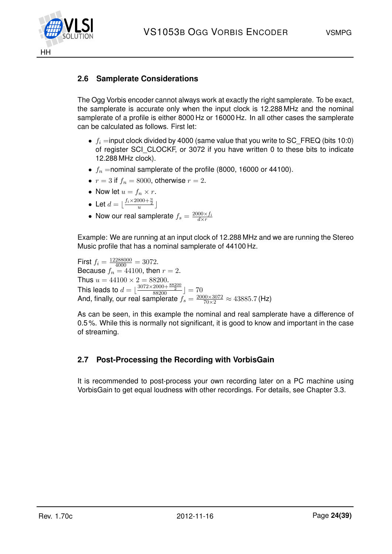

## <span id="page-23-0"></span>**2.6 Samplerate Considerations**

The Ogg Vorbis encoder cannot always work at exactly the right samplerate. To be exact, the samplerate is accurate only when the input clock is 12.288 MHz and the nominal samplerate of a profile is either 8000 Hz or 16000 Hz. In all other cases the samplerate can be calculated as follows. First let:

- $f_i$  =input clock divided by 4000 (same value that you write to SC\_FREQ (bits 10:0) of register SCI CLOCKF, or 3072 if you have written 0 to these bits to indicate 12.288 MHz clock).
- $f_n$  =nominal samplerate of the profile (8000, 16000 or 44100).
- $r = 3$  if  $f_n = 8000$ , otherwise  $r = 2$ .
- Now let  $u = f_n \times r$ .
- Let  $d = \lfloor \frac{f_i \times 2000 + \frac{u}{2}}{u} \rfloor$
- Now our real samplerate  $f_s = \frac{2000 \times f_i}{d \times r}$

Example: We are running at an input clock of 12.288 MHz and we are running the Stereo Music profile that has a nominal samplerate of 44100 Hz.

First  $f_i = \frac{12288000}{4000} = 3072$ . Because  $f_n = 44100$ , then  $r = 2$ . Thus  $u = 44100 \times 2 = 88200$ . This leads to  $d = \lfloor \frac{3072 \times 2000 + \frac{88200}{2}}{88200} \rfloor = 70$ And, finally, our real samplerate  $f_s = \frac{2000 \times 3072}{70 \times 2} \approx 43885.7$  (Hz)

As can be seen, in this example the nominal and real samplerate have a difference of 0.5 %. While this is normally not significant, it is good to know and important in the case of streaming.

## <span id="page-23-1"></span>**2.7 Post-Processing the Recording with VorbisGain**

It is recommended to post-process your own recording later on a PC machine using VorbisGain to get equal loudness with other recordings. For details, see Chapter [3.3.](#page-29-0)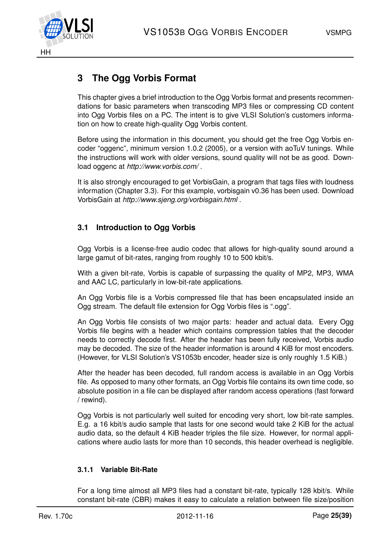

## <span id="page-24-0"></span>**3 The Ogg Vorbis Format**

This chapter gives a brief introduction to the Ogg Vorbis format and presents recommendations for basic parameters when transcoding MP3 files or compressing CD content into Ogg Vorbis files on a PC. The intent is to give VLSI Solution's customers information on how to create high-quality Ogg Vorbis content.

Before using the information in this document, you should get the free Ogg Vorbis encoder "oggenc", minimum version 1.0.2 (2005), or a version with aoTuV tunings. While the instructions will work with older versions, sound quality will not be as good. Download oggenc at *http://www.vorbis.com/* .

It is also strongly encouraged to get VorbisGain, a program that tags files with loudness information (Chapter [3.3\)](#page-29-0). For this example, vorbisgain v0.36 has been used. Download VorbisGain at *http://www.sjeng.org/vorbisgain.html* .

## <span id="page-24-1"></span>**3.1 Introduction to Ogg Vorbis**

Ogg Vorbis is a license-free audio codec that allows for high-quality sound around a large gamut of bit-rates, ranging from roughly 10 to 500 kbit/s.

With a given bit-rate, Vorbis is capable of surpassing the quality of MP2, MP3, WMA and AAC LC, particularly in low-bit-rate applications.

An Ogg Vorbis file is a Vorbis compressed file that has been encapsulated inside an Ogg stream. The default file extension for Ogg Vorbis files is ".ogg".

An Ogg Vorbis file consists of two major parts: header and actual data. Every Ogg Vorbis file begins with a header which contains compression tables that the decoder needs to correctly decode first. After the header has been fully received, Vorbis audio may be decoded. The size of the header information is around 4 KiB for most encoders. (However, for VLSI Solution's VS1053b encoder, header size is only roughly 1.5 KiB.)

After the header has been decoded, full random access is available in an Ogg Vorbis file. As opposed to many other formats, an Ogg Vorbis file contains its own time code, so absolute position in a file can be displayed after random access operations (fast forward / rewind).

Ogg Vorbis is not particularly well suited for encoding very short, low bit-rate samples. E.g. a 16 kbit/s audio sample that lasts for one second would take 2 KiB for the actual audio data, so the default 4 KiB header triples the file size. However, for normal applications where audio lasts for more than 10 seconds, this header overhead is negligible.

### <span id="page-24-2"></span>**3.1.1 Variable Bit-Rate**

For a long time almost all MP3 files had a constant bit-rate, typically 128 kbit/s. While constant bit-rate (CBR) makes it easy to calculate a relation between file size/position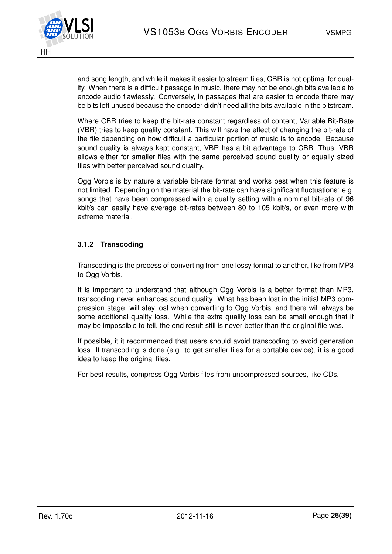

and song length, and while it makes it easier to stream files, CBR is not optimal for quality. When there is a difficult passage in music, there may not be enough bits available to encode audio flawlessly. Conversely, in passages that are easier to encode there may be bits left unused because the encoder didn't need all the bits available in the bitstream.

Where CBR tries to keep the bit-rate constant regardless of content, Variable Bit-Rate (VBR) tries to keep quality constant. This will have the effect of changing the bit-rate of the file depending on how difficult a particular portion of music is to encode. Because sound quality is always kept constant, VBR has a bit advantage to CBR. Thus, VBR allows either for smaller files with the same perceived sound quality or equally sized files with better perceived sound quality.

Ogg Vorbis is by nature a variable bit-rate format and works best when this feature is not limited. Depending on the material the bit-rate can have significant fluctuations: e.g. songs that have been compressed with a quality setting with a nominal bit-rate of 96 kbit/s can easily have average bit-rates between 80 to 105 kbit/s, or even more with extreme material.

#### <span id="page-25-0"></span>**3.1.2 Transcoding**

Transcoding is the process of converting from one lossy format to another, like from MP3 to Ogg Vorbis.

It is important to understand that although Ogg Vorbis is a better format than MP3, transcoding never enhances sound quality. What has been lost in the initial MP3 compression stage, will stay lost when converting to Ogg Vorbis, and there will always be some additional quality loss. While the extra quality loss can be small enough that it may be impossible to tell, the end result still is never better than the original file was.

If possible, it it recommended that users should avoid transcoding to avoid generation loss. If transcoding is done (e.g. to get smaller files for a portable device), it is a good idea to keep the original files.

For best results, compress Ogg Vorbis files from uncompressed sources, like CDs.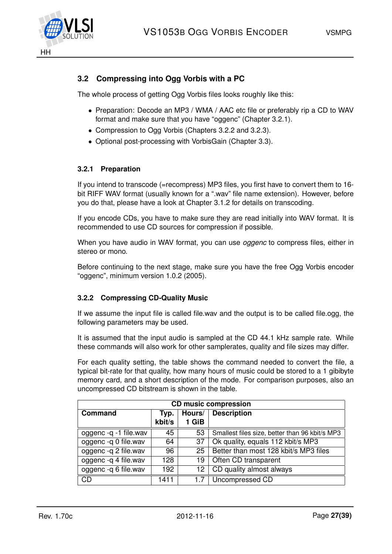

## <span id="page-26-0"></span>**3.2 Compressing into Ogg Vorbis with a PC**

The whole process of getting Ogg Vorbis files looks roughly like this:

- Preparation: Decode an MP3 / WMA / AAC etc file or preferably rip a CD to WAV format and make sure that you have "oggenc" (Chapter [3.2.1\)](#page-26-1).
- Compression to Ogg Vorbis (Chapters [3.2.2](#page-26-2) and [3.2.3\)](#page-28-0).
- Optional post-processing with VorbisGain (Chapter [3.3\)](#page-29-0).

#### <span id="page-26-1"></span>**3.2.1 Preparation**

If you intend to transcode (=recompress) MP3 files, you first have to convert them to 16 bit RIFF WAV format (usually known for a ".wav" file name extension). However, before you do that, please have a look at Chapter [3.1.2](#page-25-0) for details on transcoding.

If you encode CDs, you have to make sure they are read initially into WAV format. It is recommended to use CD sources for compression if possible.

When you have audio in WAV format, you can use *oggenc* to compress files, either in stereo or mono.

Before continuing to the next stage, make sure you have the free Ogg Vorbis encoder "oggenc", minimum version 1.0.2 (2005).

#### <span id="page-26-2"></span>**3.2.2 Compressing CD-Quality Music**

If we assume the input file is called file.wav and the output is to be called file.ogg, the following parameters may be used.

It is assumed that the input audio is sampled at the CD 44.1 kHz sample rate. While these commands will also work for other samplerates, quality and file sizes may differ.

For each quality setting, the table shows the command needed to convert the file, a typical bit-rate for that quality, how many hours of music could be stored to a 1 gibibyte memory card, and a short description of the mode. For comparison purposes, also an uncompressed CD bitstream is shown in the table.

| <b>CD music compression</b> |        |                              |                                                |  |  |  |
|-----------------------------|--------|------------------------------|------------------------------------------------|--|--|--|
| Command                     | Typ.   | <b>Description</b><br>Hours/ |                                                |  |  |  |
|                             | kbit/s | 1 GiB                        |                                                |  |  |  |
| oggenc -q -1 file.wav       | 45     | 53                           | Smallest files size, better than 96 kbit/s MP3 |  |  |  |
| oggenc -q 0 file.wav        | 64     | 37                           | Ok quality, equals 112 kbit/s MP3              |  |  |  |
| oggenc -q 2 file.wav        | 96     | 25                           | Better than most 128 kbit/s MP3 files          |  |  |  |
| oggenc -q 4 file.wav        | 128    | 19                           | Often CD transparent                           |  |  |  |
| oggenc -q 6 file.wav        | 192    | 12                           | CD quality almost always                       |  |  |  |
| <b>CD</b>                   | 1411   | 1.7                          | Uncompressed CD                                |  |  |  |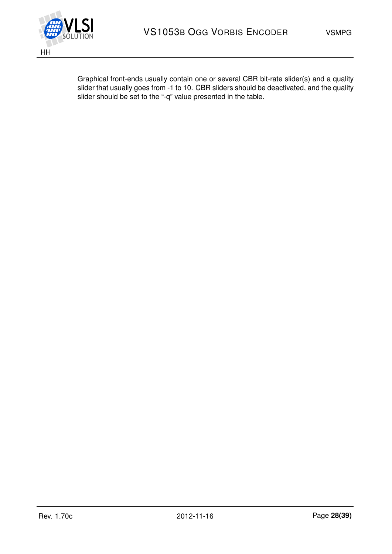

Graphical front-ends usually contain one or several CBR bit-rate slider(s) and a quality slider that usually goes from -1 to 10. CBR sliders should be deactivated, and the quality slider should be set to the "-q" value presented in the table.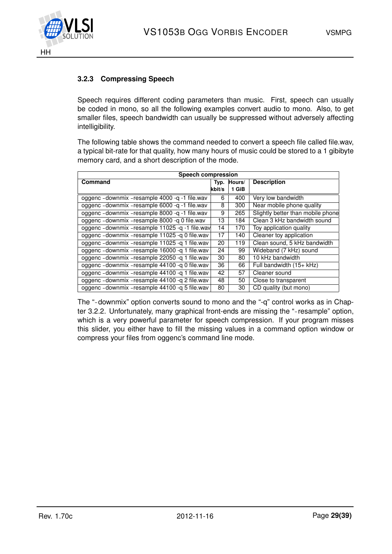

## <span id="page-28-0"></span>**3.2.3 Compressing Speech**

Speech requires different coding parameters than music. First, speech can usually be coded in mono, so all the following examples convert audio to mono. Also, to get smaller files, speech bandwidth can usually be suppressed without adversely affecting intelligibility.

The following table shows the command needed to convert a speech file called file.wav, a typical bit-rate for that quality, how many hours of music could be stored to a 1 gibibyte memory card, and a short description of the mode.

| <b>Speech compression</b>                         |        |             |                                   |  |
|---------------------------------------------------|--------|-------------|-----------------------------------|--|
| Command                                           |        | Typ. Hours/ | <b>Description</b>                |  |
|                                                   | kbit/s | 1 GiB       |                                   |  |
| oggenc - downmix - resample 4000 - q -1 file.wav  | 6      | 400         | Very low bandwidth                |  |
| oggenc - downmix - resample 6000 - q -1 file.wav  | 8      | 300         | Near mobile phone quality         |  |
| oggenc - downmix - resample 8000 - q - 1 file.wav | 9      | 265         | Slightly better than mobile phone |  |
| oggenc - downmix - resample 8000 - q 0 file.wav   | 13     | 184         | Clean 3 kHz bandwidth sound       |  |
| oggenc - downmix - resample 11025 -q -1 file.wav  | 14     | 170         | Toy application quality           |  |
| oggenc - downmix - resample 11025 - q 0 file.wav  | 17     | 140         | Cleaner toy application           |  |
| oggenc - downmix - resample 11025 - q 1 file.wav  | 20     | 119         | Clean sound, 5 kHz bandwidth      |  |
| oggenc - downmix - resample 16000 - q 1 file.wav  | 24     | 99          | Wideband (7 kHz) sound            |  |
| oggenc - downmix - resample 22050 - q 1 file.wav  | 30     | 80          | 10 kHz bandwidth                  |  |
| oggenc - downmix - resample 44100 - q 0 file.wav  | 36     | 66          | Full bandwidth (15+ kHz)          |  |
| oggenc - downmix - resample 44100 - q 1 file.wav  | 42     | 57          | Cleaner sound                     |  |
| oggenc - downmix - resample 44100 - q 2 file.wav  | 48     | 50          | Close to transparent              |  |
| oggenc - downmix - resample 44100 - q 5 file.wav  | 80     | 30          | CD quality (but mono)             |  |

The "-downmix" option converts sound to mono and the "-q" control works as in Chap-ter [3.2.2.](#page-26-2) Unfortunately, many graphical front-ends are missing the "-resample" option, which is a very powerful parameter for speech compression. If your program misses this slider, you either have to fill the missing values in a command option window or compress your files from oggenc's command line mode.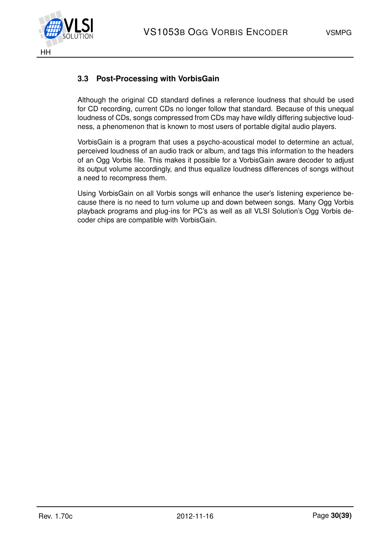

## <span id="page-29-0"></span>**3.3 Post-Processing with VorbisGain**

Although the original CD standard defines a reference loudness that should be used for CD recording, current CDs no longer follow that standard. Because of this unequal loudness of CDs, songs compressed from CDs may have wildly differing subjective loudness, a phenomenon that is known to most users of portable digital audio players.

VorbisGain is a program that uses a psycho-acoustical model to determine an actual, perceived loudness of an audio track or album, and tags this information to the headers of an Ogg Vorbis file. This makes it possible for a VorbisGain aware decoder to adjust its output volume accordingly, and thus equalize loudness differences of songs without a need to recompress them.

Using VorbisGain on all Vorbis songs will enhance the user's listening experience because there is no need to turn volume up and down between songs. Many Ogg Vorbis playback programs and plug-ins for PC's as well as all VLSI Solution's Ogg Vorbis decoder chips are compatible with VorbisGain.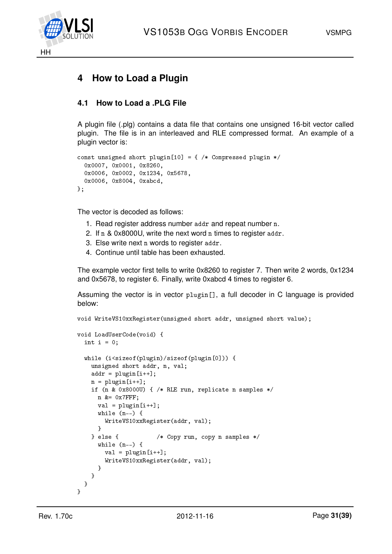



## <span id="page-30-0"></span>**4 How to Load a Plugin**

### <span id="page-30-1"></span>**4.1 How to Load a .PLG File**

A plugin file (.plg) contains a data file that contains one unsigned 16-bit vector called plugin. The file is in an interleaved and RLE compressed format. An example of a plugin vector is:

```
const unsigned short plugin[10] = { /* Compressed plugin */0x0007, 0x0001, 0x8260,
  0x0006, 0x0002, 0x1234, 0x5678,
  0x0006, 0x8004, 0xabcd,
};
```
The vector is decoded as follows:

- 1. Read register address number addr and repeat number n.
- 2. If n & 0x8000U, write the next word n times to register addr.
- 3. Else write next n words to register addr.
- 4. Continue until table has been exhausted.

The example vector first tells to write 0x8260 to register 7. Then write 2 words, 0x1234 and 0x5678, to register 6. Finally, write 0xabcd 4 times to register 6.

Assuming the vector is in vector plugin[], a full decoder in C language is provided below:

void WriteVS10xxRegister(unsigned short addr, unsigned short value);

```
void LoadUserCode(void) {
 int i = 0;
 while (i<sizeof(plugin)/sizeof(plugin[0])) {
   unsigned short addr, n, val;
   addr = plugin[i++];n = plugin[i++];
   if (n & 0x8000U) { /* RLE run, replicate n samples */
     n &= 0x7FFF;
     val = plugin[i++];while (n-) {
       WriteVS10xxRegister(addr, val);
     }
   } else { /* Copy run, copy n samples */
     while (n--) {
       val = plugin[i++];WriteVS10xxRegister(addr, val);
     }
   }
 }
}
```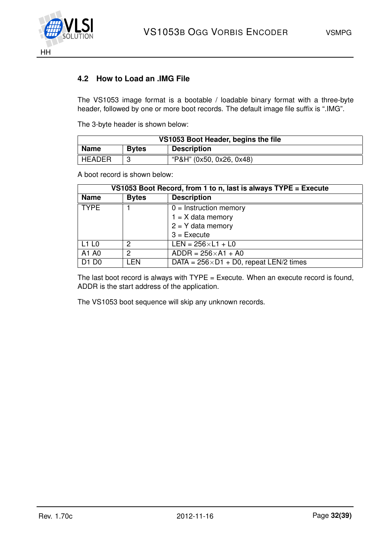

## <span id="page-31-0"></span>**4.2 How to Load an .IMG File**

The VS1053 image format is a bootable / loadable binary format with a three-byte header, followed by one or more boot records. The default image file suffix is ".IMG".

The 3-byte header is shown below:

| VS1053 Boot Header, begins the file |              |                          |  |  |
|-------------------------------------|--------------|--------------------------|--|--|
| <b>Name</b>                         | <b>Bytes</b> | <b>Description</b>       |  |  |
| <b>HEADER</b>                       | ◠            | "P&H" (0x50, 0x26, 0x48) |  |  |

A boot record is shown below:

| VS1053 Boot Record, from 1 to n, last is always TYPE = Execute |               |                                                  |  |
|----------------------------------------------------------------|---------------|--------------------------------------------------|--|
| <b>Name</b>                                                    | <b>Bytes</b>  | <b>Description</b>                               |  |
| <b>TYPE</b>                                                    |               | $0 =$ Instruction memory                         |  |
|                                                                |               | $1 = X$ data memory                              |  |
|                                                                |               | $2 = Y$ data memory                              |  |
|                                                                |               | $3 =$ Execute                                    |  |
| L <sub>1</sub> L <sub>0</sub>                                  | $\mathcal{P}$ | $LEN = 256 \times L1 + L0$                       |  |
| A <sub>1</sub> A <sub>0</sub>                                  | 2             | $ADDR = 256 \times A1 + A0$                      |  |
| D1 D0                                                          | I FN          | DATA = $256 \times D1 + D0$ , repeat LEN/2 times |  |

The last boot record is always with  $\text{TYPE} = \text{Execute}$ . When an execute record is found, ADDR is the start address of the application.

The VS1053 boot sequence will skip any unknown records.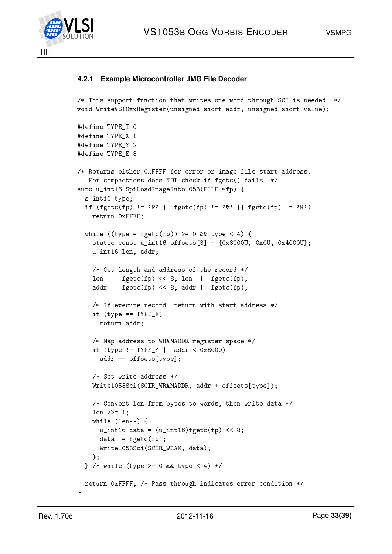

#### <span id="page-32-0"></span>**4.2.1 Example Microcontroller .IMG File Decoder**

```
/* This support function that writes one word through SCI is needed. */
void WriteVS10xxRegister(unsigned short addr, unsigned short value);
```

```
#define TYPE_I 0
#define TYPE X 1
#define TYPE_Y 2
#define TYPE E 3
/* Returns either 0xFFFF for error or image file start address.
  For compactness does NOT check if fgetc() fails! */
auto u_int16 SpiLoadImageInto1053(FILE *fp) {
  s_int16 type;
  if (fgetc(fp) != 'P' || fgetc(fp) != '&' || fgetc(fp) != 'H')
   return 0xFFFF;
 while ((type = fgetc(fp)) >= 0 && type < 4) {
    static const u_int16 offsets[3] = {0x80000, 0x00, 0x40000};
   u_int16 len, addr;
    /* Get length and address of the record */
    len = fgetc(fp) << 8; len | = fgetc(fp);
    addr = fgetc(fp) \ll 8; addr | = fgetc(fp);
   /* If execute record: return with start address */
   if (type == TYPE_E)
     return addr;
    /* Map address to WRAMADDR register space */
    if (type != TYPE_Y || addr < 0xE000)
      addr += offsets[type];
    /* Set write address */
   Write1053Sci(SCIR_WRAMADDR, addr + offsets[type]);
    /* Convert len from bytes to words, then write data */
   len >>= 1;
   while (len--) {
     u_int16 data = (u_1int16)fgetc(fp) << 8;
     data = fgetc(fp);Write1053Sci(SCIR_WRAM, data);
   };
  } /* while (type >= 0 && type < 4) */
 return 0xFFFF; /* Pass-through indicates error condition */
}
```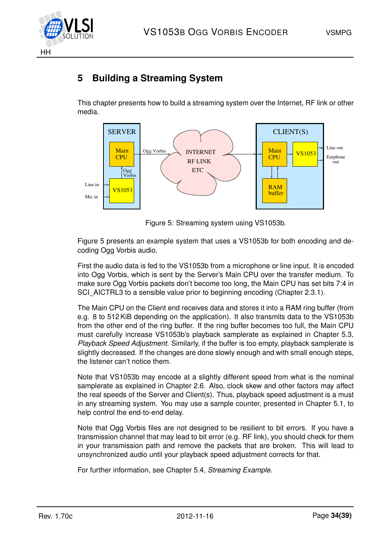

## <span id="page-33-0"></span>**5 Building a Streaming System**

This chapter presents how to build a streaming system over the Internet, RF link or other media.



<span id="page-33-1"></span>Figure 5: Streaming system using VS1053b.

Figure [5](#page-33-1) presents an example system that uses a VS1053b for both encoding and decoding Ogg Vorbis audio.

First the audio data is fed to the VS1053b from a microphone or line input. It is encoded into Ogg Vorbis, which is sent by the Server's Main CPU over the transfer medium. To make sure Ogg Vorbis packets don't become too long, the Main CPU has set bits 7:4 in SCI AICTRL3 to a sensible value prior to beginning encoding (Chapter [2.3.1\)](#page-7-1).

The Main CPU on the Client end receives data and stores it into a RAM ring buffer (from e.g. 8 to 512 KiB depending on the application). It also transmits data to the VS1053b from the other end of the ring buffer. If the ring buffer becomes too full, the Main CPU must carefully increase VS1053b's playback samplerate as explained in Chapter [5.3,](#page-35-0) *Playback Speed Adjustment*. Similarly, if the buffer is too empty, playback samplerate is slightly decreased. If the changes are done slowly enough and with small enough steps, the listener can't notice them.

Note that VS1053b may encode at a slightly different speed from what is the nominal samplerate as explained in Chapter [2.6.](#page-23-0) Also, clock skew and other factors may affect the real speeds of the Server and Client(s). Thus, playback speed adjustment is a must in any streaming system. You may use a sample counter, presented in Chapter [5.1,](#page-34-0) to help control the end-to-end delay.

Note that Ogg Vorbis files are not designed to be resilient to bit errors. If you have a transmission channel that may lead to bit error (e.g. RF link), you should check for them in your transmission path and remove the packets that are broken. This will lead to unsynchronized audio until your playback speed adjustment corrects for that.

For further information, see Chapter [5.4,](#page-36-0) *Streaming Example*.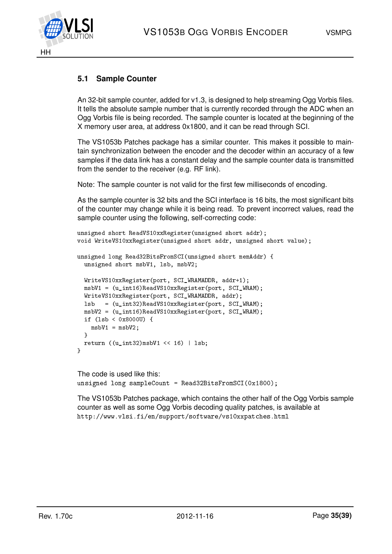

## <span id="page-34-0"></span>**5.1 Sample Counter**

An 32-bit sample counter, added for v1.3, is designed to help streaming Ogg Vorbis files. It tells the absolute sample number that is currently recorded through the ADC when an Ogg Vorbis file is being recorded. The sample counter is located at the beginning of the X memory user area, at address 0x1800, and it can be read through SCI.

The VS1053b Patches package has a similar counter. This makes it possible to maintain synchronization between the encoder and the decoder within an accuracy of a few samples if the data link has a constant delay and the sample counter data is transmitted from the sender to the receiver (e.g. RF link).

Note: The sample counter is not valid for the first few milliseconds of encoding.

As the sample counter is 32 bits and the SCI interface is 16 bits, the most significant bits of the counter may change while it is being read. To prevent incorrect values, read the sample counter using the following, self-correcting code:

```
unsigned short ReadVS10xxRegister(unsigned short addr);
void WriteVS10xxRegister(unsigned short addr, unsigned short value);
unsigned long Read32BitsFromSCI(unsigned short memAddr) {
 unsigned short msbV1, lsb, msbV2;
 WriteVS10xxRegister(port, SCI_WRAMADDR, addr+1);
 msbV1 = (u int16)ReadV510xxRegister(port, SCIWRAM);WriteVS10xxRegister(port, SCI_WRAMADDR, addr);
  lsb = (u_int32)ReadVS10xxRegister(port, SCI_WRAM);
 msbV2 = (u_int16)ReadVS10xxRegister(port, SCI_WRAM);
  if (lsb < 0x8000U) {
   msbV1 = msbV2;}
 return ((u_{{\text{int32}}})msbV1 << 16) | lsb;
}
```
The code is used like this: unsigned long sampleCount = Read32BitsFromSCI(0x1800);

The VS1053b Patches package, which contains the other half of the Ogg Vorbis sample counter as well as some Ogg Vorbis decoding quality patches, is available at http://www.vlsi.fi/en/support/software/vs10xxpatches.html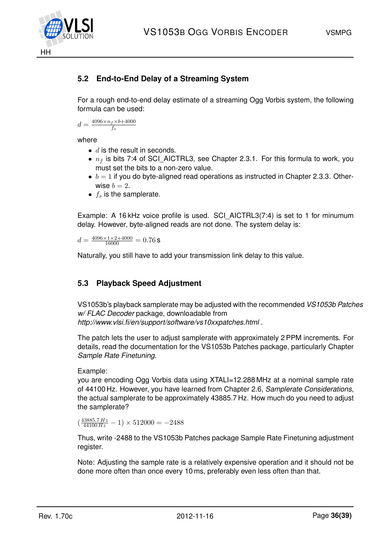

## <span id="page-35-1"></span>**5.2 End-to-End Delay of a Streaming System**

For a rough end-to-end delay estimate of a streaming Ogg Vorbis system, the following formula can be used:

$$
d = \frac{4096 \times n_f \times b + 4000}{f_s}
$$

where

- $\bullet$  d is the result in seconds.
- $n_f$  is bits 7:4 of SCI AICTRL3, see Chapter [2.3.1.](#page-7-1) For this formula to work, you must set the bits to a non-zero value.
- $\bullet$   $b = 1$  if you do byte-aligned read operations as instructed in Chapter [2.3.3.](#page-9-0) Otherwise  $b = 2$ .
- $f_s$  is the samplerate.

Example: A 16 kHz voice profile is used. SCI\_AICTRL3(7:4) is set to 1 for minumum delay. However, byte-aligned reads are not done. The system delay is:

 $d = \frac{4096 \times 1 \times 2 + 4000}{16000} = 0.76$  S

Naturally, you still have to add your transmission link delay to this value.

### <span id="page-35-0"></span>**5.3 Playback Speed Adjustment**

VS1053b's playback samplerate may be adjusted with the recommended *VS1053b Patches w/ FLAC Decoder* package, downloadable from *http://www.vlsi.fi/en/support/software/vs10xxpatches.html* .

The patch lets the user to adjust samplerate with approximately 2 PPM increments. For details, read the documentation for the VS1053b Patches package, particularly Chapter *Sample Rate Finetuning*.

Example:

you are encoding Ogg Vorbis data using XTALI=12.288 MHz at a nominal sample rate of 44100 Hz. However, you have learned from Chapter [2.6,](#page-23-0) *Samplerate Considerations*, the actual samplerate to be approximately 43885.7 Hz. How much do you need to adjust the samplerate?

 $\left(\frac{43885.7 \, Hz}{44100 \, Hz} - 1\right) \times 512000 = -2488$ 

Thus, write -2488 to the VS1053b Patches package Sample Rate Finetuning adjustment register.

Note: Adjusting the sample rate is a relatively expensive operation and it should not be done more often than once every 10 ms, preferably even less often than that.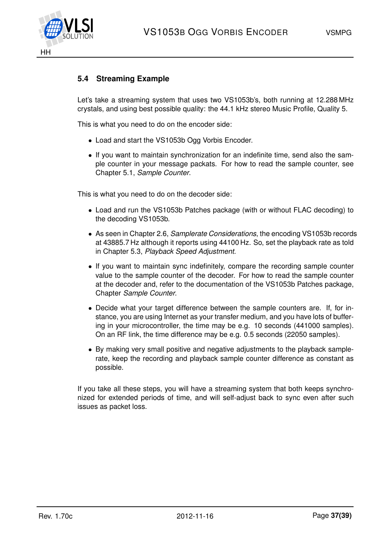

### <span id="page-36-0"></span>**5.4 Streaming Example**

Let's take a streaming system that uses two VS1053b's, both running at 12.288 MHz crystals, and using best possible quality: the 44.1 kHz stereo Music Profile, Quality 5.

This is what you need to do on the encoder side:

- Load and start the VS1053b Ogg Vorbis Encoder.
- If you want to maintain synchronization for an indefinite time, send also the sample counter in your message packats. For how to read the sample counter, see Chapter [5.1,](#page-34-0) *Sample Counter*.

This is what you need to do on the decoder side:

- Load and run the VS1053b Patches package (with or without FLAC decoding) to the decoding VS1053b.
- As seen in Chapter [2.6,](#page-23-0) *Samplerate Considerations*, the encoding VS1053b records at 43885.7 Hz although it reports using 44100 Hz. So, set the playback rate as told in Chapter [5.3,](#page-35-0) *Playback Speed Adjustment*.
- If you want to maintain sync indefinitely, compare the recording sample counter value to the sample counter of the decoder. For how to read the sample counter at the decoder and, refer to the documentation of the VS1053b Patches package, Chapter *Sample Counter*.
- Decide what your target difference between the sample counters are. If, for instance, you are using Internet as your transfer medium, and you have lots of buffering in your microcontroller, the time may be e.g. 10 seconds (441000 samples). On an RF link, the time difference may be e.g. 0.5 seconds (22050 samples).
- By making very small positive and negative adjustments to the playback samplerate, keep the recording and playback sample counter difference as constant as possible.

If you take all these steps, you will have a streaming system that both keeps synchronized for extended periods of time, and will self-adjust back to sync even after such issues as packet loss.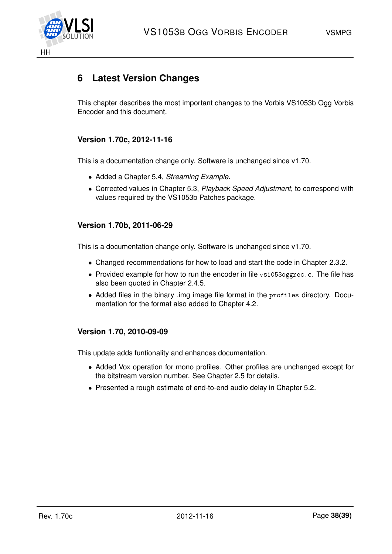

## <span id="page-37-0"></span>**6 Latest Version Changes**

This chapter describes the most important changes to the Vorbis VS1053b Ogg Vorbis Encoder and this document.

## **Version 1.70c, 2012-11-16**

This is a documentation change only. Software is unchanged since v1.70.

- Added a Chapter [5.4,](#page-36-0) *Streaming Example*.
- Corrected values in Chapter [5.3,](#page-35-0) *Playback Speed Adjustment*, to correspond with values required by the VS1053b Patches package.

#### **Version 1.70b, 2011-06-29**

This is a documentation change only. Software is unchanged since v1.70.

- Changed recommendations for how to load and start the code in Chapter [2.3.2.](#page-8-0)
- Provided example for how to run the encoder in file vs1053oggrec.c. The file has also been quoted in Chapter [2.4.5.](#page-16-0)
- Added files in the binary .img image file format in the profiles directory. Documentation for the format also added to Chapter [4.2.](#page-31-0)

### **Version 1.70, 2010-09-09**

This update adds funtionality and enhances documentation.

- Added Vox operation for mono profiles. Other profiles are unchanged except for the bitstream version number. See Chapter [2.5](#page-21-0) for details.
- Presented a rough estimate of end-to-end audio delay in Chapter [5.2.](#page-35-1)